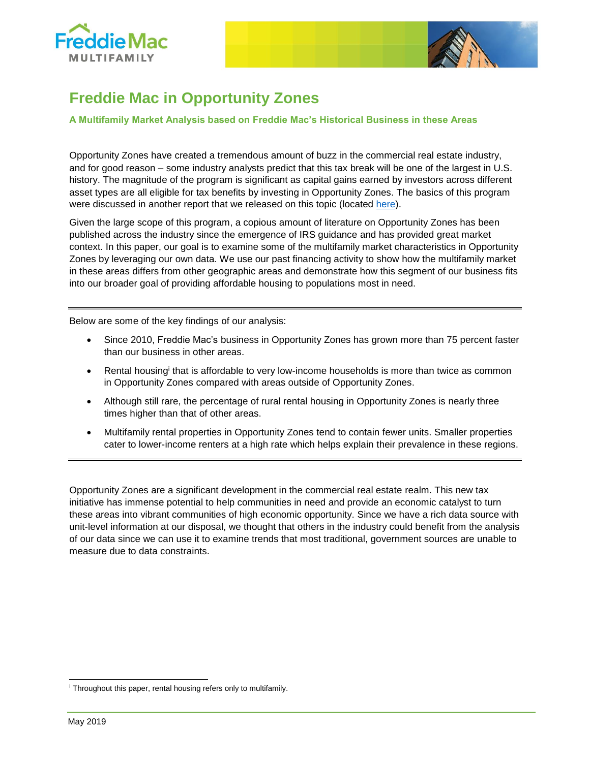



# **Freddie Mac in Opportunity Zones**

#### **A Multifamily Market Analysis based on Freddie Mac's Historical Business in these Areas**

Opportunity Zones have created a tremendous amount of buzz in the commercial real estate industry, and for good reason – some industry analysts predict that this tax break will be one of the largest in U.S. history. The magnitude of the program is significant as capital gains earned by investors across different asset types are all eligible for tax benefits by investing in Opportunity Zones. The basics of this program were discussed in another report that we released on this topic (located [here\)](https://mf.freddiemac.com/docs/opportunity-zones.pdf).

Given the large scope of this program, a copious amount of literature on Opportunity Zones has been published across the industry since the emergence of IRS guidance and has provided great market context. In this paper, our goal is to examine some of the multifamily market characteristics in Opportunity Zones by leveraging our own data. We use our past financing activity to show how the multifamily market in these areas differs from other geographic areas and demonstrate how this segment of our business fits into our broader goal of providing affordable housing to populations most in need.

Below are some of the key findings of our analysis:

- Since 2010, Freddie Mac's business in Opportunity Zones has grown more than 75 percent faster than our business in other areas.
- Rental housing<sup>i</sup> that is affordable to very low-income households is more than twice as common in Opportunity Zones compared with areas outside of Opportunity Zones.
- Although still rare, the percentage of rural rental housing in Opportunity Zones is nearly three times higher than that of other areas.
- Multifamily rental properties in Opportunity Zones tend to contain fewer units. Smaller properties cater to lower-income renters at a high rate which helps explain their prevalence in these regions.

Opportunity Zones are a significant development in the commercial real estate realm. This new tax initiative has immense potential to help communities in need and provide an economic catalyst to turn these areas into vibrant communities of high economic opportunity. Since we have a rich data source with unit-level information at our disposal, we thought that others in the industry could benefit from the analysis of our data since we can use it to examine trends that most traditional, government sources are unable to measure due to data constraints.

<sup>&</sup>lt;sup>i</sup> Throughout this paper, rental housing refers only to multifamily.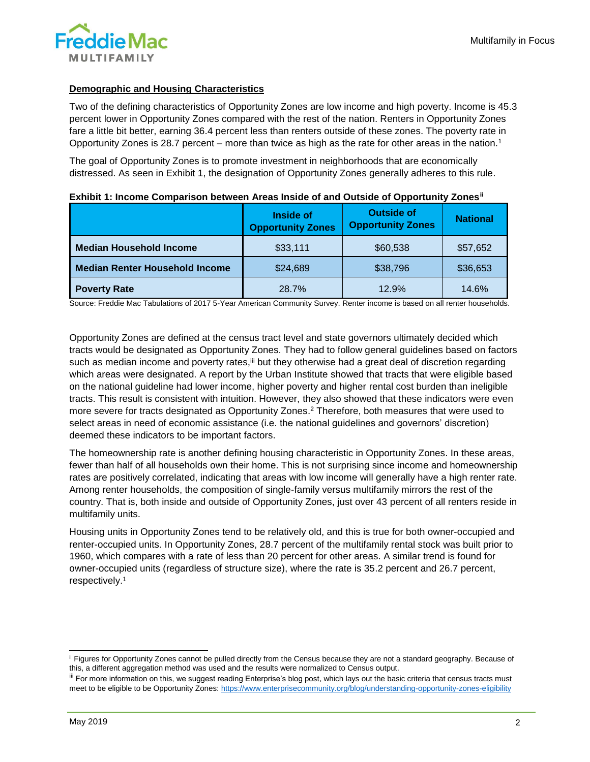# **Demographic and Housing Characteristics**

Two of the defining characteristics of Opportunity Zones are low income and high poverty. Income is 45.3 percent lower in Opportunity Zones compared with the rest of the nation. Renters in Opportunity Zones fare a little bit better, earning 36.4 percent less than renters outside of these zones. The poverty rate in Opportunity Zones is 28.7 percent – more than twice as high as the rate for other areas in the nation.<sup>1</sup>

<span id="page-1-0"></span>The goal of Opportunity Zones is to promote investment in neighborhoods that are economically distressed. As seen in Exhibit 1, the designation of Opportunity Zones generally adheres to this rule.

|                                       | <b>Inside of</b><br><b>Opportunity Zones</b> | <b>Outside of</b><br><b>Opportunity Zones</b> | <b>National</b> |  |
|---------------------------------------|----------------------------------------------|-----------------------------------------------|-----------------|--|
| <b>Median Household Income</b>        | \$33,111                                     | \$60,538                                      | \$57,652        |  |
| <b>Median Renter Household Income</b> | \$24,689                                     | \$38,796                                      | \$36,653        |  |
| <b>Poverty Rate</b>                   | 28.7%                                        | 12.9%                                         | 14.6%           |  |

|  | Exhibit 1: Income Comparison between Areas Inside of and Outside of Opportunity Zones <sup>ii</sup> |  |  |  |  |
|--|-----------------------------------------------------------------------------------------------------|--|--|--|--|
|  |                                                                                                     |  |  |  |  |

Source: Freddie Mac Tabulations of 2017 5-Year American Community Survey. Renter income is based on all renter households.

Opportunity Zones are defined at the census tract level and state governors ultimately decided which tracts would be designated as Opportunity Zones. They had to follow general guidelines based on factors such as median income and poverty rates,<sup>iii</sup> but they otherwise had a great deal of discretion regarding which areas were designated. A report by the Urban Institute showed that tracts that were eligible based on the national guideline had lower income, higher poverty and higher rental cost burden than ineligible tracts. This result is consistent with intuition. However, they also showed that these indicators were even more severe for tracts designated as Opportunity Zones.<sup>2</sup> Therefore, both measures that were used to select areas in need of economic assistance (i.e. the national guidelines and governors' discretion) deemed these indicators to be important factors.

The homeownership rate is another defining housing characteristic in Opportunity Zones. In these areas, fewer than half of all households own their home. This is not surprising since income and homeownership rates are positively correlated, indicating that areas with low income will generally have a high renter rate. Among renter households, the composition of single-family versus multifamily mirrors the rest of the country. That is, both inside and outside of Opportunity Zones, just over 43 percent of all renters reside in multifamily units.

Housing units in Opportunity Zones tend to be relatively old, and this is true for both owner-occupied and renter-occupied units. In Opportunity Zones, 28.7 percent of the multifamily rental stock was built prior to 1960, which compares with a rate of less than 20 percent for other areas. A similar trend is found for owner-occupied units (regardless of structure size), where the rate is 35.2 percent and 26.7 percent, respectively[.](#page-1-0)<sup>1</sup>

 $\overline{\phantom{a}}$ ii Figures for Opportunity Zones cannot be pulled directly from the Census because they are not a standard geography. Because of this, a different aggregation method was used and the results were normalized to Census output.

III For more information on this, we suggest reading Enterprise's blog post, which lays out the basic criteria that census tracts must meet to be eligible to be Opportunity Zones[: https://www.enterprisecommunity.org/blog/understanding-opportunity-zones-eligibility](https://www.enterprisecommunity.org/blog/understanding-opportunity-zones-eligibility)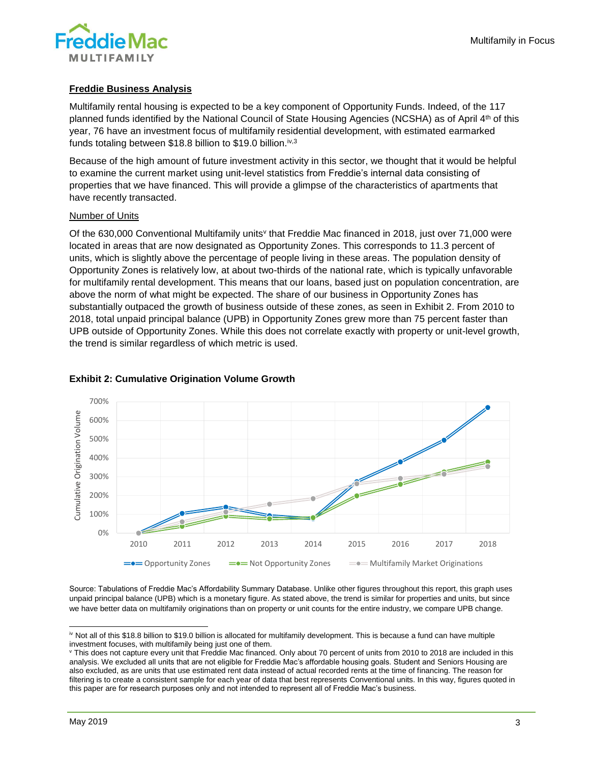

# **Freddie Business Analysis**

Multifamily rental housing is expected to be a key component of Opportunity Funds. Indeed, of the 117 planned funds identified by the National Council of State Housing Agencies (NCSHA) as of April 4th of this year, 76 have an investment focus of multifamily residential development, with estimated earmarked funds totaling between \$18.8 billion to \$19.0 billion.<sup>iv,3</sup>

Because of the high amount of future investment activity in this sector, we thought that it would be helpful to examine the current market using unit-level statistics from Freddie's internal data consisting of properties that we have financed. This will provide a glimpse of the characteristics of apartments that have recently transacted.

#### Number of Units

Of the 630,000 Conventional Multifamily units<sup>v</sup> that Freddie Mac financed in 2018, just over 71,000 were located in areas that are now designated as Opportunity Zones. This corresponds to 11.3 percent of units, which is slightly above the percentage of people living in these areas. The population density of Opportunity Zones is relatively low, at about two-thirds of the national rate, which is typically unfavorable for multifamily rental development. This means that our loans, based just on population concentration, are above the norm of what might be expected. The share of our business in Opportunity Zones has substantially outpaced the growth of business outside of these zones, as seen in Exhibit 2. From 2010 to 2018, total unpaid principal balance (UPB) in Opportunity Zones grew more than 75 percent faster than UPB outside of Opportunity Zones. While this does not correlate exactly with property or unit-level growth, the trend is similar regardless of which metric is used.



# **Exhibit 2: Cumulative Origination Volume Growth**

Source: Tabulations of Freddie Mac's Affordability Summary Database. Unlike other figures throughout this report, this graph uses unpaid principal balance (UPB) which is a monetary figure. As stated above, the trend is similar for properties and units, but since we have better data on multifamily originations than on property or unit counts for the entire industry, we compare UPB change.

l

iv Not all of this \$18.8 billion to \$19.0 billion is allocated for multifamily development. This is because a fund can have multiple investment focuses, with multifamily being just one of them.

<sup>v</sup> This does not capture every unit that Freddie Mac financed. Only about 70 percent of units from 2010 to 2018 are included in this analysis. We excluded all units that are not eligible for Freddie Mac's affordable housing goals. Student and Seniors Housing are also excluded, as are units that use estimated rent data instead of actual recorded rents at the time of financing. The reason for filtering is to create a consistent sample for each year of data that best represents Conventional units. In this way, figures quoted in this paper are for research purposes only and not intended to represent all of Freddie Mac's business.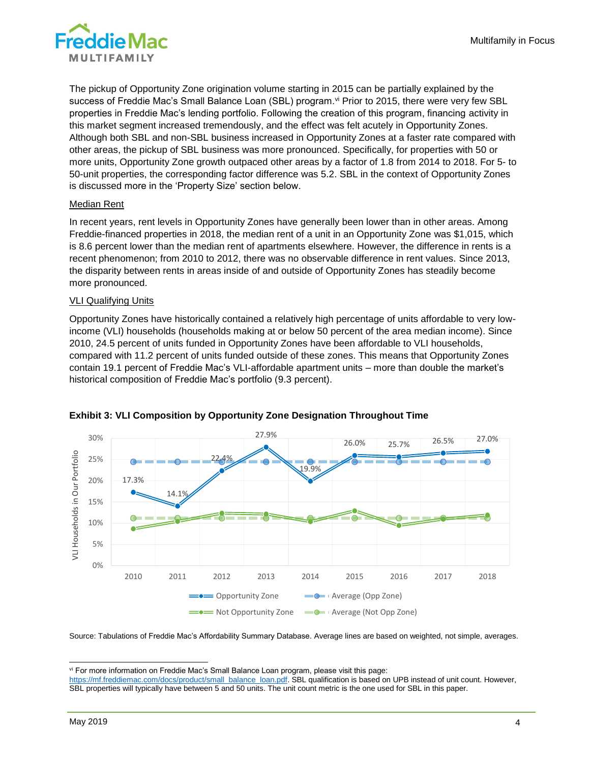The pickup of Opportunity Zone origination volume starting in 2015 can be partially explained by the success of Freddie Mac's Small Balance Loan (SBL) program.<sup>vi</sup> Prior to 2015, there were very few SBL properties in Freddie Mac's lending portfolio. Following the creation of this program, financing activity in this market segment increased tremendously, and the effect was felt acutely in Opportunity Zones. Although both SBL and non-SBL business increased in Opportunity Zones at a faster rate compared with other areas, the pickup of SBL business was more pronounced. Specifically, for properties with 50 or more units, Opportunity Zone growth outpaced other areas by a factor of 1.8 from 2014 to 2018. For 5- to 50-unit properties, the corresponding factor difference was 5.2. SBL in the context of Opportunity Zones is discussed more in the 'Property Size' section below.

#### Median Rent

In recent years, rent levels in Opportunity Zones have generally been lower than in other areas. Among Freddie-financed properties in 2018, the median rent of a unit in an Opportunity Zone was \$1,015, which is 8.6 percent lower than the median rent of apartments elsewhere. However, the difference in rents is a recent phenomenon; from 2010 to 2012, there was no observable difference in rent values. Since 2013, the disparity between rents in areas inside of and outside of Opportunity Zones has steadily become more pronounced.

#### **VLI Qualifying Units**

Opportunity Zones have historically contained a relatively high percentage of units affordable to very lowincome (VLI) households (households making at or below 50 percent of the area median income). Since 2010, 24.5 percent of units funded in Opportunity Zones have been affordable to VLI households, compared with 11.2 percent of units funded outside of these zones. This means that Opportunity Zones contain 19.1 percent of Freddie Mac's VLI-affordable apartment units – more than double the market's historical composition of Freddie Mac's portfolio (9.3 percent).



# **Exhibit 3: VLI Composition by Opportunity Zone Designation Throughout Time**

Source: Tabulations of Freddie Mac's Affordability Summary Database. Average lines are based on weighted, not simple, averages.

 $\overline{\phantom{a}}$ vi For more information on Freddie Mac's Small Balance Loan program, please visit this page:

[https://mf.freddiemac.com/docs/product/small\\_balance\\_loan.pdf.](https://mf.freddiemac.com/docs/product/small_balance_loan.pdf) SBL qualification is based on UPB instead of unit count. However, SBL properties will typically have between 5 and 50 units. The unit count metric is the one used for SBL in this paper.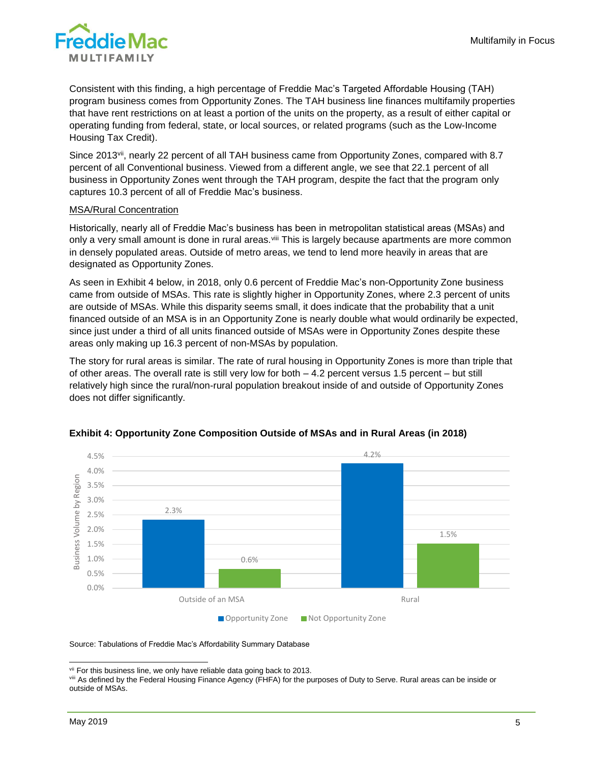

Consistent with this finding, a high percentage of Freddie Mac's Targeted Affordable Housing (TAH) program business comes from Opportunity Zones. The TAH business line finances multifamily properties that have rent restrictions on at least a portion of the units on the property, as a result of either capital or operating funding from federal, state, or local sources, or related programs (such as the Low-Income Housing Tax Credit).

Since 2013<sup>vii</sup>, nearly 22 percent of all TAH business came from Opportunity Zones, compared with 8.7 percent of all Conventional business. Viewed from a different angle, we see that 22.1 percent of all business in Opportunity Zones went through the TAH program, despite the fact that the program only captures 10.3 percent of all of Freddie Mac's business.

#### MSA/Rural Concentration

Historically, nearly all of Freddie Mac's business has been in metropolitan statistical areas (MSAs) and only a very small amount is done in rural areas.<sup>viii</sup> This is largely because apartments are more common in densely populated areas. Outside of metro areas, we tend to lend more heavily in areas that are designated as Opportunity Zones.

As seen in Exhibit 4 below, in 2018, only 0.6 percent of Freddie Mac's non-Opportunity Zone business came from outside of MSAs. This rate is slightly higher in Opportunity Zones, where 2.3 percent of units are outside of MSAs. While this disparity seems small, it does indicate that the probability that a unit financed outside of an MSA is in an Opportunity Zone is nearly double what would ordinarily be expected, since just under a third of all units financed outside of MSAs were in Opportunity Zones despite these areas only making up 16.3 percent of non-MSAs by population.

The story for rural areas is similar. The rate of rural housing in Opportunity Zones is more than triple that of other areas. The overall rate is still very low for both – 4.2 percent versus 1.5 percent – but still relatively high since the rural/non-rural population breakout inside of and outside of Opportunity Zones does not differ significantly.



# **Exhibit 4: Opportunity Zone Composition Outside of MSAs and in Rural Areas (in 2018)**

Source: Tabulations of Freddie Mac's Affordability Summary Database

 $\overline{\phantom{a}}$ vii For this business line, we only have reliable data going back to 2013.

viii As defined by the Federal Housing Finance Agency (FHFA) for the purposes of Duty to Serve. Rural areas can be inside or outside of MSAs.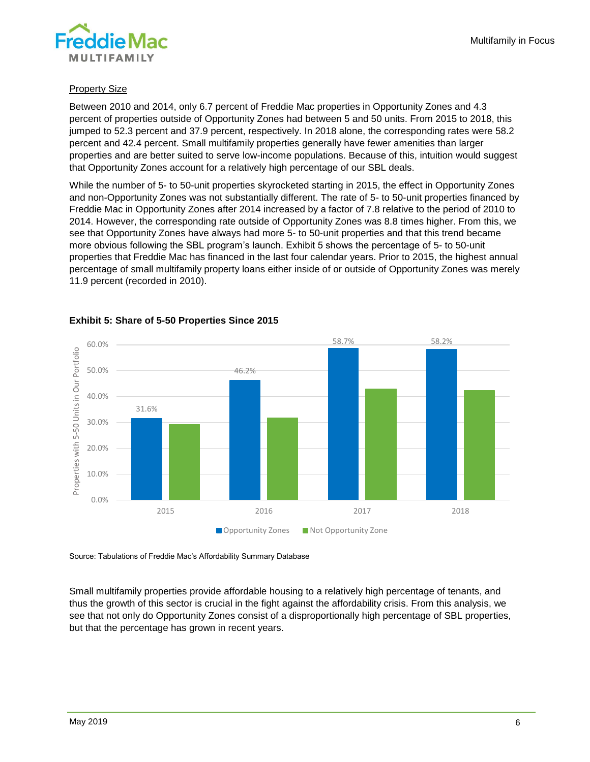

#### **Property Size**

Between 2010 and 2014, only 6.7 percent of Freddie Mac properties in Opportunity Zones and 4.3 percent of properties outside of Opportunity Zones had between 5 and 50 units. From 2015 to 2018, this jumped to 52.3 percent and 37.9 percent, respectively. In 2018 alone, the corresponding rates were 58.2 percent and 42.4 percent. Small multifamily properties generally have fewer amenities than larger properties and are better suited to serve low-income populations. Because of this, intuition would suggest that Opportunity Zones account for a relatively high percentage of our SBL deals.

While the number of 5- to 50-unit properties skyrocketed starting in 2015, the effect in Opportunity Zones and non-Opportunity Zones was not substantially different. The rate of 5- to 50-unit properties financed by Freddie Mac in Opportunity Zones after 2014 increased by a factor of 7.8 relative to the period of 2010 to 2014. However, the corresponding rate outside of Opportunity Zones was 8.8 times higher. From this, we see that Opportunity Zones have always had more 5- to 50-unit properties and that this trend became more obvious following the SBL program's launch. Exhibit 5 shows the percentage of 5- to 50-unit properties that Freddie Mac has financed in the last four calendar years. Prior to 2015, the highest annual percentage of small multifamily property loans either inside of or outside of Opportunity Zones was merely 11.9 percent (recorded in 2010).



# **Exhibit 5: Share of 5-50 Properties Since 2015**

Source: Tabulations of Freddie Mac's Affordability Summary Database

Small multifamily properties provide affordable housing to a relatively high percentage of tenants, and thus the growth of this sector is crucial in the fight against the affordability crisis. From this analysis, we see that not only do Opportunity Zones consist of a disproportionally high percentage of SBL properties, but that the percentage has grown in recent years.